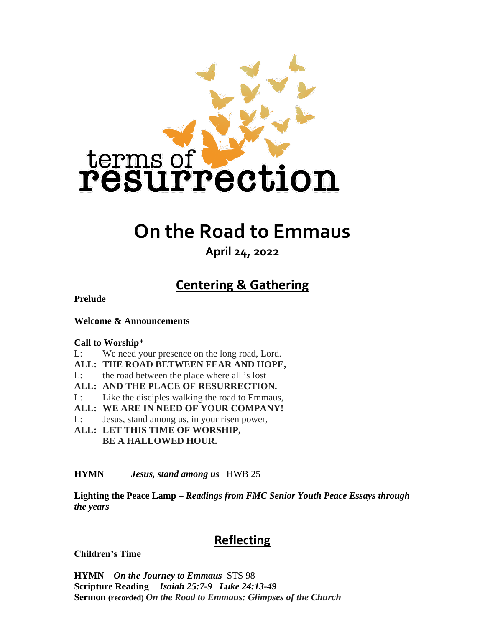

# **On the Road to Emmaus**

**April 24, 2022**

## **Centering & Gathering**

**Prelude**

**Welcome & Announcements**

#### **Call to Worship**\*

- L: We need your presence on the long road, Lord.
- **ALL: THE ROAD BETWEEN FEAR AND HOPE,**
- L: the road between the place where all is lost
- **ALL: AND THE PLACE OF RESURRECTION.**
- L: Like the disciples walking the road to Emmaus,
- **ALL: WE ARE IN NEED OF YOUR COMPANY!**
- L: Jesus, stand among us, in your risen power,
- **ALL: LET THIS TIME OF WORSHIP, BE A HALLOWED HOUR.**

#### **HYMN** *Jesus, stand among us* HWB 25

**Lighting the Peace Lamp –** *Readings from FMC Senior Youth Peace Essays through the years*

### **Reflecting**

**Children's Time**

**HYMN** *On the Journey to Emmaus* STS 98 **Scripture Reading** *Isaiah 25:7-9 Luke 24:13-49* **Sermon (recorded)** *On the Road to Emmaus: Glimpses of the Church*